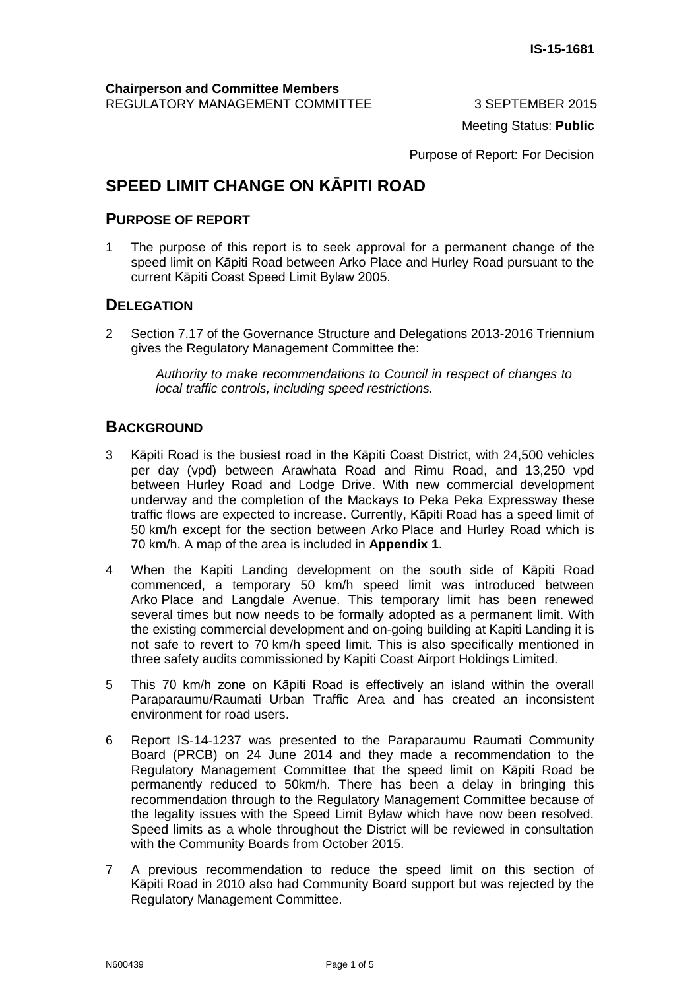Meeting Status: **Public**

Purpose of Report: For Decision

# **SPEED LIMIT CHANGE ON KĀPITI ROAD**

## **PURPOSE OF REPORT**

1 The purpose of this report is to seek approval for a permanent change of the speed limit on Kāpiti Road between Arko Place and Hurley Road pursuant to the current Kāpiti Coast Speed Limit Bylaw 2005.

# **DELEGATION**

2 Section 7.17 of the Governance Structure and Delegations 2013-2016 Triennium gives the Regulatory Management Committee the:

> *Authority to make recommendations to Council in respect of changes to local traffic controls, including speed restrictions.*

## **BACKGROUND**

- 3 Kāpiti Road is the busiest road in the Kāpiti Coast District, with 24,500 vehicles per day (vpd) between Arawhata Road and Rimu Road, and 13,250 vpd between Hurley Road and Lodge Drive. With new commercial development underway and the completion of the Mackays to Peka Peka Expressway these traffic flows are expected to increase. Currently, Kāpiti Road has a speed limit of 50 km/h except for the section between Arko Place and Hurley Road which is 70 km/h. A map of the area is included in **Appendix 1**.
- 4 When the Kapiti Landing development on the south side of Kāpiti Road commenced, a temporary 50 km/h speed limit was introduced between Arko Place and Langdale Avenue. This temporary limit has been renewed several times but now needs to be formally adopted as a permanent limit. With the existing commercial development and on-going building at Kapiti Landing it is not safe to revert to 70 km/h speed limit. This is also specifically mentioned in three safety audits commissioned by Kapiti Coast Airport Holdings Limited.
- 5 This 70 km/h zone on Kāpiti Road is effectively an island within the overall Paraparaumu/Raumati Urban Traffic Area and has created an inconsistent environment for road users.
- 6 Report IS-14-1237 was presented to the Paraparaumu Raumati Community Board (PRCB) on 24 June 2014 and they made a recommendation to the Regulatory Management Committee that the speed limit on Kāpiti Road be permanently reduced to 50km/h. There has been a delay in bringing this recommendation through to the Regulatory Management Committee because of the legality issues with the Speed Limit Bylaw which have now been resolved. Speed limits as a whole throughout the District will be reviewed in consultation with the Community Boards from October 2015.
- 7 A previous recommendation to reduce the speed limit on this section of Kāpiti Road in 2010 also had Community Board support but was rejected by the Regulatory Management Committee.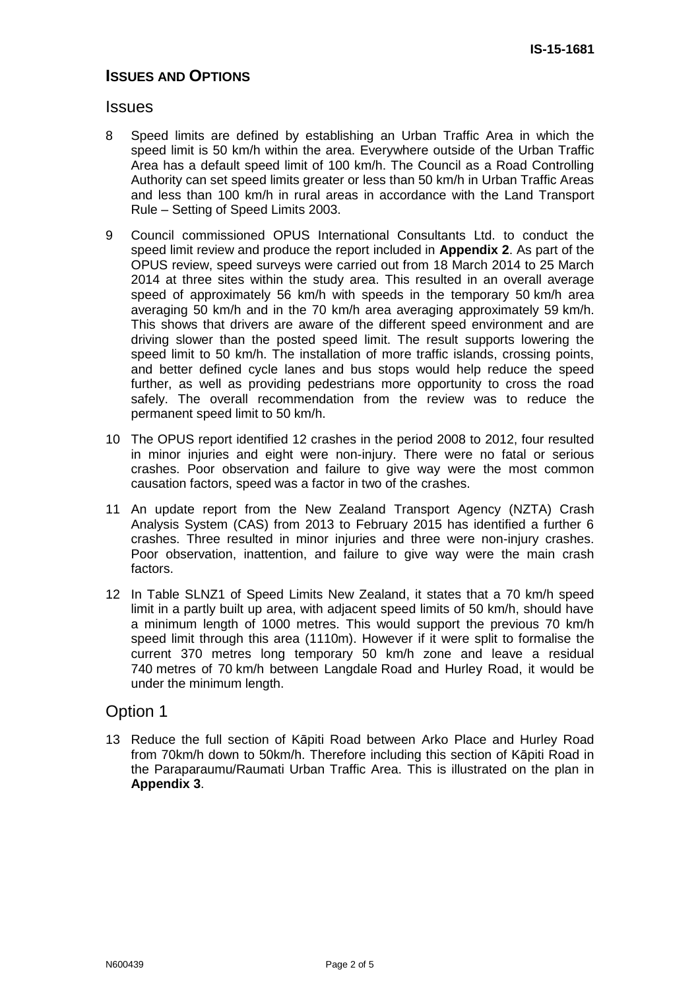# **ISSUES AND OPTIONS**

#### **Issues**

- 8 Speed limits are defined by establishing an Urban Traffic Area in which the speed limit is 50 km/h within the area. Everywhere outside of the Urban Traffic Area has a default speed limit of 100 km/h. The Council as a Road Controlling Authority can set speed limits greater or less than 50 km/h in Urban Traffic Areas and less than 100 km/h in rural areas in accordance with the Land Transport Rule – Setting of Speed Limits 2003.
- 9 Council commissioned OPUS International Consultants Ltd. to conduct the speed limit review and produce the report included in **Appendix 2**. As part of the OPUS review, speed surveys were carried out from 18 March 2014 to 25 March 2014 at three sites within the study area. This resulted in an overall average speed of approximately 56 km/h with speeds in the temporary 50 km/h area averaging 50 km/h and in the 70 km/h area averaging approximately 59 km/h. This shows that drivers are aware of the different speed environment and are driving slower than the posted speed limit. The result supports lowering the speed limit to 50 km/h. The installation of more traffic islands, crossing points, and better defined cycle lanes and bus stops would help reduce the speed further, as well as providing pedestrians more opportunity to cross the road safely. The overall recommendation from the review was to reduce the permanent speed limit to 50 km/h.
- 10 The OPUS report identified 12 crashes in the period 2008 to 2012, four resulted in minor injuries and eight were non-injury. There were no fatal or serious crashes. Poor observation and failure to give way were the most common causation factors, speed was a factor in two of the crashes.
- 11 An update report from the New Zealand Transport Agency (NZTA) Crash Analysis System (CAS) from 2013 to February 2015 has identified a further 6 crashes. Three resulted in minor injuries and three were non-injury crashes. Poor observation, inattention, and failure to give way were the main crash factors.
- 12 In Table SLNZ1 of Speed Limits New Zealand, it states that a 70 km/h speed limit in a partly built up area, with adjacent speed limits of 50 km/h, should have a minimum length of 1000 metres. This would support the previous 70 km/h speed limit through this area (1110m). However if it were split to formalise the current 370 metres long temporary 50 km/h zone and leave a residual 740 metres of 70 km/h between Langdale Road and Hurley Road, it would be under the minimum length.

### Option 1

13 Reduce the full section of Kāpiti Road between Arko Place and Hurley Road from 70km/h down to 50km/h. Therefore including this section of Kāpiti Road in the Paraparaumu/Raumati Urban Traffic Area. This is illustrated on the plan in **Appendix 3**.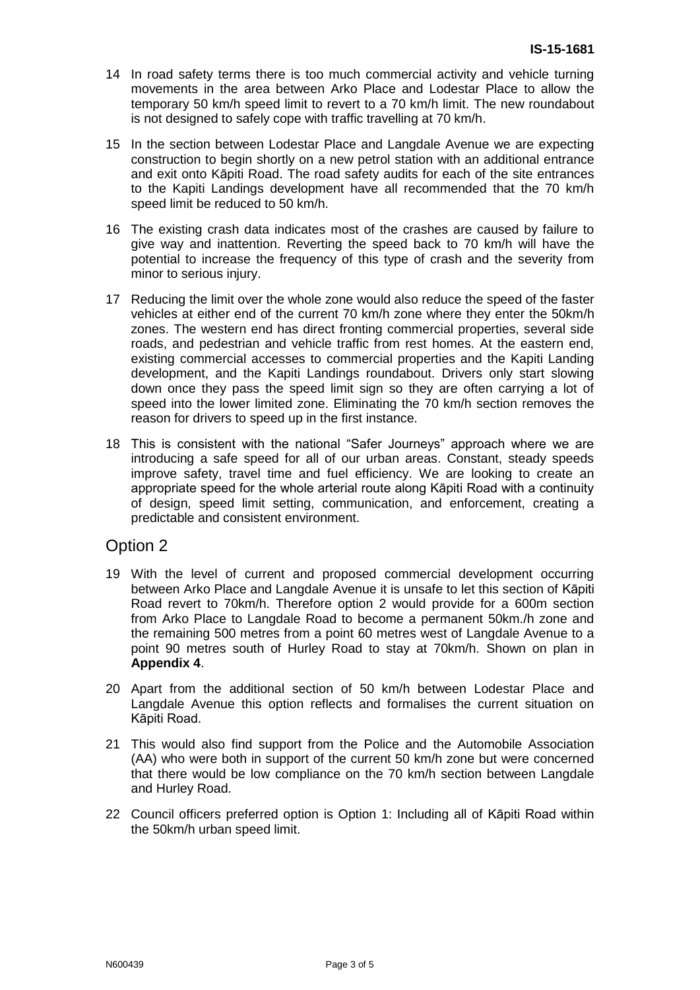- 14 In road safety terms there is too much commercial activity and vehicle turning movements in the area between Arko Place and Lodestar Place to allow the temporary 50 km/h speed limit to revert to a 70 km/h limit. The new roundabout is not designed to safely cope with traffic travelling at 70 km/h.
- 15 In the section between Lodestar Place and Langdale Avenue we are expecting construction to begin shortly on a new petrol station with an additional entrance and exit onto Kāpiti Road. The road safety audits for each of the site entrances to the Kapiti Landings development have all recommended that the 70 km/h speed limit be reduced to 50 km/h.
- 16 The existing crash data indicates most of the crashes are caused by failure to give way and inattention. Reverting the speed back to 70 km/h will have the potential to increase the frequency of this type of crash and the severity from minor to serious injury.
- 17 Reducing the limit over the whole zone would also reduce the speed of the faster vehicles at either end of the current 70 km/h zone where they enter the 50km/h zones. The western end has direct fronting commercial properties, several side roads, and pedestrian and vehicle traffic from rest homes. At the eastern end, existing commercial accesses to commercial properties and the Kapiti Landing development, and the Kapiti Landings roundabout. Drivers only start slowing down once they pass the speed limit sign so they are often carrying a lot of speed into the lower limited zone. Eliminating the 70 km/h section removes the reason for drivers to speed up in the first instance.
- 18 This is consistent with the national "Safer Journeys" approach where we are introducing a safe speed for all of our urban areas. Constant, steady speeds improve safety, travel time and fuel efficiency. We are looking to create an appropriate speed for the whole arterial route along Kāpiti Road with a continuity of design, speed limit setting, communication, and enforcement, creating a predictable and consistent environment.

### Option 2

- 19 With the level of current and proposed commercial development occurring between Arko Place and Langdale Avenue it is unsafe to let this section of Kāpiti Road revert to 70km/h. Therefore option 2 would provide for a 600m section from Arko Place to Langdale Road to become a permanent 50km./h zone and the remaining 500 metres from a point 60 metres west of Langdale Avenue to a point 90 metres south of Hurley Road to stay at 70km/h. Shown on plan in **Appendix 4**.
- 20 Apart from the additional section of 50 km/h between Lodestar Place and Langdale Avenue this option reflects and formalises the current situation on Kāpiti Road.
- 21 This would also find support from the Police and the Automobile Association (AA) who were both in support of the current 50 km/h zone but were concerned that there would be low compliance on the 70 km/h section between Langdale and Hurley Road.
- 22 Council officers preferred option is Option 1: Including all of Kāpiti Road within the 50km/h urban speed limit.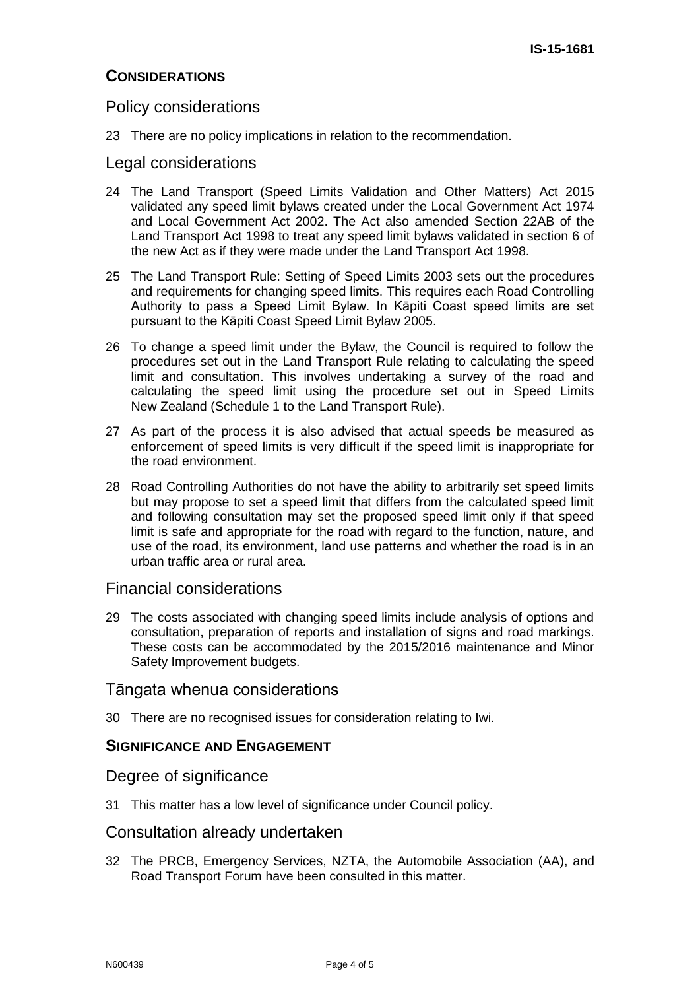## **CONSIDERATIONS**

## Policy considerations

23 There are no policy implications in relation to the recommendation.

### Legal considerations

- 24 The Land Transport (Speed Limits Validation and Other Matters) Act 2015 validated any speed limit bylaws created under the Local Government Act 1974 and Local Government Act 2002. The Act also amended Section 22AB of the Land Transport Act 1998 to treat any speed limit bylaws validated in section 6 of the new Act as if they were made under the Land Transport Act 1998.
- 25 The Land Transport Rule: Setting of Speed Limits 2003 sets out the procedures and requirements for changing speed limits. This requires each Road Controlling Authority to pass a Speed Limit Bylaw. In Kāpiti Coast speed limits are set pursuant to the Kāpiti Coast Speed Limit Bylaw 2005.
- 26 To change a speed limit under the Bylaw, the Council is required to follow the procedures set out in the Land Transport Rule relating to calculating the speed limit and consultation. This involves undertaking a survey of the road and calculating the speed limit using the procedure set out in Speed Limits New Zealand (Schedule 1 to the Land Transport Rule).
- 27 As part of the process it is also advised that actual speeds be measured as enforcement of speed limits is very difficult if the speed limit is inappropriate for the road environment.
- 28 Road Controlling Authorities do not have the ability to arbitrarily set speed limits but may propose to set a speed limit that differs from the calculated speed limit and following consultation may set the proposed speed limit only if that speed limit is safe and appropriate for the road with regard to the function, nature, and use of the road, its environment, land use patterns and whether the road is in an urban traffic area or rural area.

### Financial considerations

29 The costs associated with changing speed limits include analysis of options and consultation, preparation of reports and installation of signs and road markings. These costs can be accommodated by the 2015/2016 maintenance and Minor Safety Improvement budgets.

### Tāngata whenua considerations

30 There are no recognised issues for consideration relating to Iwi.

## **SIGNIFICANCE AND ENGAGEMENT**

#### Degree of significance

31 This matter has a low level of significance under Council policy.

#### Consultation already undertaken

32 The PRCB, Emergency Services, NZTA, the Automobile Association (AA), and Road Transport Forum have been consulted in this matter.